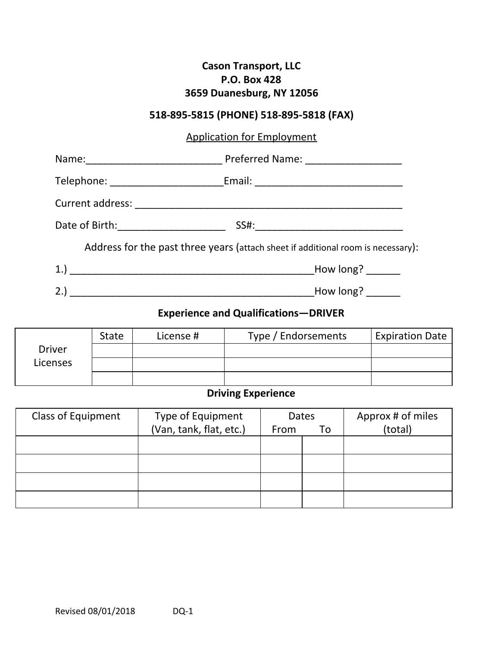### **Cason Transport, LLC P.O. Box 428 3659 Duanesburg, NY 12056**

## **518-895-5815 (PHONE) 518-895-5818 (FAX)**

## Application for Employment

|     | Telephone: ____________________________Email: __________________________________ |  |
|-----|----------------------------------------------------------------------------------|--|
|     |                                                                                  |  |
|     |                                                                                  |  |
|     | Address for the past three years (attach sheet if additional room is necessary): |  |
|     | How long?                                                                        |  |
| 2.) | How long?                                                                        |  |

# **Experience and Qualifications—DRIVER**

|               | <b>State</b> | License # | Type / Endorsements | <b>Expiration Date</b> |
|---------------|--------------|-----------|---------------------|------------------------|
| <b>Driver</b> |              |           |                     |                        |
| Licenses      |              |           |                     |                        |
|               |              |           |                     |                        |

## **Driving Experience**

| <b>Class of Equipment</b> | Type of Equipment       | <b>Dates</b> |    | Approx # of miles |
|---------------------------|-------------------------|--------------|----|-------------------|
|                           | (Van, tank, flat, etc.) | From         | To | (total)           |
|                           |                         |              |    |                   |
|                           |                         |              |    |                   |
|                           |                         |              |    |                   |
|                           |                         |              |    |                   |
|                           |                         |              |    |                   |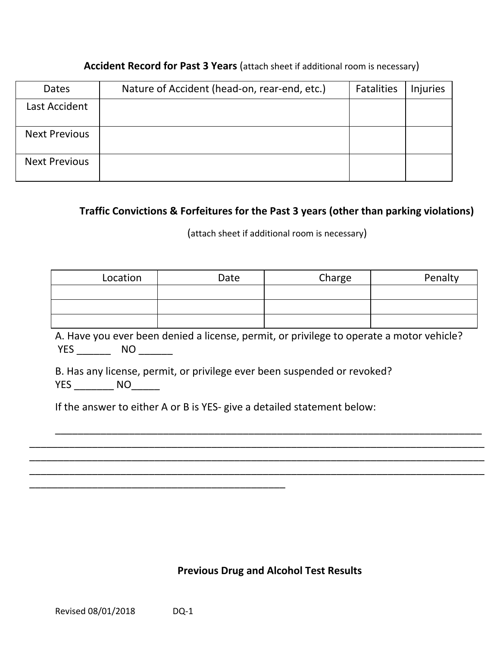| Dates                | Nature of Accident (head-on, rear-end, etc.) | <b>Fatalities</b> | Injuries |
|----------------------|----------------------------------------------|-------------------|----------|
| Last Accident        |                                              |                   |          |
| <b>Next Previous</b> |                                              |                   |          |
| <b>Next Previous</b> |                                              |                   |          |

#### **Accident Record for Past 3 Years** (attach sheet if additional room is necessary)

#### **Traffic Convictions & Forfeitures for the Past 3 years (other than parking violations)**

(attach sheet if additional room is necessary)

| Location | Date | Charge | Penalty |
|----------|------|--------|---------|
|          |      |        |         |
|          |      |        |         |
|          |      |        |         |

A. Have you ever been denied a license, permit, or privilege to operate a motor vehicle? YES \_\_\_\_\_\_\_\_\_\_\_ NO \_\_\_\_\_\_\_\_\_

\_\_\_\_\_\_\_\_\_\_\_\_\_\_\_\_\_\_\_\_\_\_\_\_\_\_\_\_\_\_\_\_\_\_\_\_\_\_\_\_\_\_\_\_\_\_\_\_\_\_\_\_\_\_\_\_\_\_\_\_\_\_\_\_\_\_\_\_\_\_\_\_\_\_\_

\_\_\_\_\_\_\_\_\_\_\_\_\_\_\_\_\_\_\_\_\_\_\_\_\_\_\_\_\_\_\_\_\_\_\_\_\_\_\_\_\_\_\_\_\_\_\_\_\_\_\_\_\_\_\_\_\_\_\_\_\_\_\_\_\_\_\_\_\_\_\_\_\_\_\_\_\_\_\_\_ \_\_\_\_\_\_\_\_\_\_\_\_\_\_\_\_\_\_\_\_\_\_\_\_\_\_\_\_\_\_\_\_\_\_\_\_\_\_\_\_\_\_\_\_\_\_\_\_\_\_\_\_\_\_\_\_\_\_\_\_\_\_\_\_\_\_\_\_\_\_\_\_\_\_\_\_\_\_\_\_ \_\_\_\_\_\_\_\_\_\_\_\_\_\_\_\_\_\_\_\_\_\_\_\_\_\_\_\_\_\_\_\_\_\_\_\_\_\_\_\_\_\_\_\_\_\_\_\_\_\_\_\_\_\_\_\_\_\_\_\_\_\_\_\_\_\_\_\_\_\_\_\_\_\_\_\_\_\_\_\_

B. Has any license, permit, or privilege ever been suspended or revoked? YES \_\_\_\_\_\_\_\_\_ NO\_\_\_\_\_\_\_

If the answer to either A or B is YES- give a detailed statement below:

#### **Previous Drug and Alcohol Test Results**

\_\_\_\_\_\_\_\_\_\_\_\_\_\_\_\_\_\_\_\_\_\_\_\_\_\_\_\_\_\_\_\_\_\_\_\_\_\_\_\_\_\_\_\_\_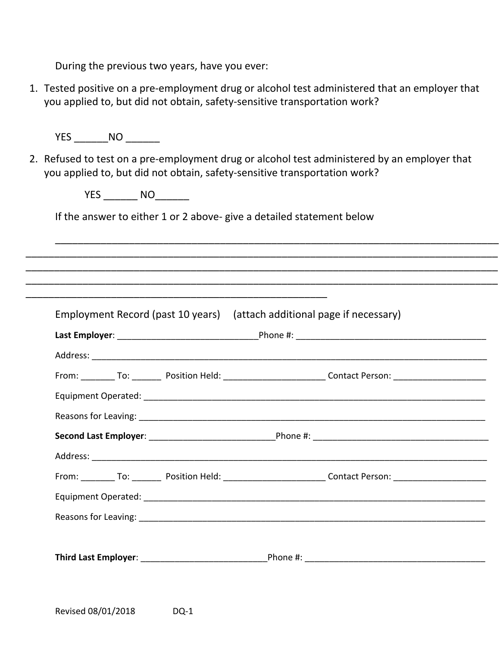During the previous two years, have you ever:

1. Tested positive on a pre-employment drug or alcohol test administered that an employer that you applied to, but did not obtain, safety-sensitive transportation work?

YES NO

2. Refused to test on a pre-employment drug or alcohol test administered by an employer that you applied to, but did not obtain, safety-sensitive transportation work?

\_\_\_\_\_\_\_\_\_\_\_\_\_\_\_\_\_\_\_\_\_\_\_\_\_\_\_\_\_\_\_\_\_\_\_\_\_\_\_\_\_\_\_\_\_\_\_\_\_\_\_\_\_\_\_\_\_\_\_\_\_\_\_\_\_\_\_\_\_\_\_\_\_\_\_\_\_\_

\_\_\_\_\_\_\_\_\_\_\_\_\_\_\_\_\_\_\_\_\_\_\_\_\_\_\_\_\_\_\_\_\_\_\_\_\_\_\_\_\_\_\_\_\_\_\_\_\_\_\_\_\_\_\_\_\_\_\_\_\_\_\_\_\_\_\_\_\_\_\_\_\_\_\_\_\_\_\_\_\_\_\_ \_\_\_\_\_\_\_\_\_\_\_\_\_\_\_\_\_\_\_\_\_\_\_\_\_\_\_\_\_\_\_\_\_\_\_\_\_\_\_\_\_\_\_\_\_\_\_\_\_\_\_\_\_\_\_\_\_\_\_\_\_\_\_\_\_\_\_\_\_\_\_\_\_\_\_\_\_\_\_\_\_\_\_ \_\_\_\_\_\_\_\_\_\_\_\_\_\_\_\_\_\_\_\_\_\_\_\_\_\_\_\_\_\_\_\_\_\_\_\_\_\_\_\_\_\_\_\_\_\_\_\_\_\_\_\_\_\_\_\_\_\_\_\_\_\_\_\_\_\_\_\_\_\_\_\_\_\_\_\_\_\_\_\_\_\_\_

YES NO

If the answer to either 1 or 2 above- give a detailed statement below

\_\_\_\_\_\_\_\_\_\_\_\_\_\_\_\_\_\_\_\_\_\_\_\_\_\_\_\_\_\_\_\_\_\_\_\_\_\_\_\_\_\_\_\_\_\_\_\_\_\_\_\_\_

Employment Record (past 10 years) (attach additional page if necessary) **Last Employer:** The contract of the Phone #:  $\blacksquare$ Address: \_\_\_\_\_\_\_\_\_\_\_\_\_\_\_\_\_\_\_\_\_\_\_\_\_\_\_\_\_\_\_\_\_\_\_\_\_\_\_\_\_\_\_\_\_\_\_\_\_\_\_\_\_\_\_\_\_\_\_\_\_\_\_\_\_\_\_\_\_\_\_\_\_\_\_\_\_\_\_\_\_ From: To: Position Held: Contact Person: Equipment Operated: \_\_\_\_\_\_\_\_\_\_\_\_\_\_\_\_\_\_\_\_\_\_\_\_\_\_\_\_\_\_\_\_\_\_\_\_\_\_\_\_\_\_\_\_\_\_\_\_\_\_\_\_\_\_\_\_\_\_\_\_\_\_\_\_\_\_\_\_\_\_ Reasons for Leaving: which is a set of the set of the set of the set of the set of the set of the set of the set of the set of the set of the set of the set of the set of the set of the set of the set of the set of the set **Second Last Employer**: \_\_\_\_\_\_\_\_\_\_\_\_\_\_\_\_\_\_\_\_\_\_\_\_\_\_Phone #: \_\_\_\_\_\_\_\_\_\_\_\_\_\_\_\_\_\_\_\_\_\_\_\_\_\_\_\_\_\_\_\_\_\_\_\_ Address: From: To: Position Held: Contact Person: Zontact Person: Equipment Operated: \_\_\_\_\_\_\_\_\_\_\_\_\_\_\_\_\_\_\_\_\_\_\_\_\_\_\_\_\_\_\_\_\_\_\_\_\_\_\_\_\_\_\_\_\_\_\_\_\_\_\_\_\_\_\_\_\_\_\_\_\_\_\_\_\_\_\_\_\_\_ Reasons for Leaving: \_\_\_\_\_\_\_\_\_\_\_\_\_\_\_\_\_\_\_\_\_\_\_\_\_\_\_\_\_\_\_\_\_\_\_\_\_\_\_\_\_\_\_\_\_\_\_\_\_\_\_\_\_\_\_\_\_\_\_\_\_\_\_\_\_\_\_\_\_\_\_ **Third Last Employer:** Third Last Employer:  $\blacksquare$